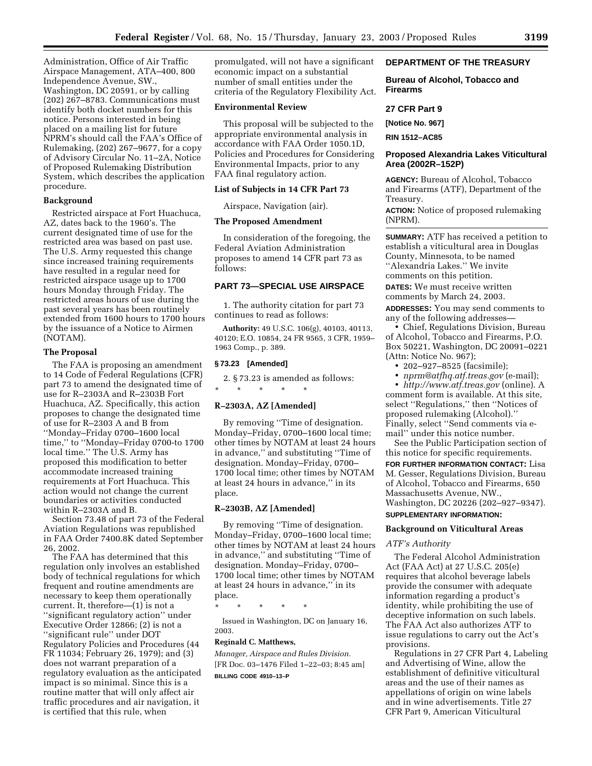Administration, Office of Air Traffic Airspace Management, ATA–400, 800 Independence Avenue, SW., Washington, DC 20591, or by calling (202) 267–8783. Communications must identify both docket numbers for this notice. Persons interested in being placed on a mailing list for future NPRM's should call the FAA's Office of Rulemaking, (202) 267–9677, for a copy of Advisory Circular No. 11–2A, Notice of Proposed Rulemaking Distribution System, which describes the application procedure.

## **Background**

Restricted airspace at Fort Huachuca, AZ, dates back to the 1960's. The current designated time of use for the restricted area was based on past use. The U.S. Army requested this change since increased training requirements have resulted in a regular need for restricted airspace usage up to 1700 hours Monday through Friday. The restricted areas hours of use during the past several years has been routinely extended from 1600 hours to 1700 hours by the issuance of a Notice to Airmen (NOTAM).

## **The Proposal**

The FAA is proposing an amendment to 14 Code of Federal Regulations (CFR) part 73 to amend the designated time of use for R–2303A and R–2303B Fort Huachuca, AZ. Specifically, this action proposes to change the designated time of use for R–2303 A and B from ''Monday–Friday 0700–1600 local time,'' to ''Monday–Friday 0700-to 1700 local time." The U.S. Army has proposed this modification to better accommodate increased training requirements at Fort Huachuca. This action would not change the current boundaries or activities conducted within R–2303A and B.

Section 73.48 of part 73 of the Federal Aviation Regulations was republished in FAA Order 7400.8K dated September 26, 2002.

The FAA has determined that this regulation only involves an established body of technical regulations for which frequent and routine amendments are necessary to keep them operationally current. It, therefore—(1) is not a ''significant regulatory action'' under Executive Order 12866; (2) is not a ''significant rule'' under DOT Regulatory Policies and Procedures (44 FR 11034; February 26, 1979); and (3) does not warrant preparation of a regulatory evaluation as the anticipated impact is so minimal. Since this is a routine matter that will only affect air traffic procedures and air navigation, it is certified that this rule, when

promulgated, will not have a significant economic impact on a substantial number of small entities under the criteria of the Regulatory Flexibility Act.

#### **Environmental Review**

This proposal will be subjected to the appropriate environmental analysis in accordance with FAA Order 1050.1D, Policies and Procedures for Considering Environmental Impacts, prior to any FAA final regulatory action.

#### **List of Subjects in 14 CFR Part 73**

Airspace, Navigation (air).

## **The Proposed Amendment**

In consideration of the foregoing, the Federal Aviation Administration proposes to amend 14 CFR part 73 as follows:

## **PART 73—SPECIAL USE AIRSPACE**

1. The authority citation for part 73 continues to read as follows:

**Authority:** 49 U.S.C. 106(g), 40103, 40113, 40120; E.O. 10854, 24 FR 9565, 3 CFR, 1959– 1963 Comp., p. 389.

#### **§ 73.23 [Amended]**

2. § 73.23 is amended as follows: \* \* \* \* \*

## **R–2303A, AZ [Amended]**

By removing ''Time of designation. Monday–Friday, 0700–1600 local time; other times by NOTAM at least 24 hours in advance,'' and substituting ''Time of designation. Monday–Friday, 0700– 1700 local time; other times by NOTAM at least 24 hours in advance,'' in its place.

## **R–2303B, AZ [Amended]**

By removing ''Time of designation. Monday–Friday, 0700–1600 local time; other times by NOTAM at least 24 hours in advance,'' and substituting ''Time of designation. Monday–Friday, 0700– 1700 local time; other times by NOTAM at least 24 hours in advance,'' in its place.

\* \* \* \* \*

Issued in Washington, DC on January 16, 2003.

#### **Reginald C. Matthews,**

*Manager, Airspace and Rules Division.* [FR Doc. 03–1476 Filed 1–22–03; 8:45 am] **BILLING CODE 4910–13–P**

## **DEPARTMENT OF THE TREASURY**

**Bureau of Alcohol, Tobacco and Firearms** 

## **27 CFR Part 9**

**[Notice No. 967]** 

**RIN 1512–AC85** 

# **Proposed Alexandria Lakes Viticultural Area (2002R–152P)**

**AGENCY:** Bureau of Alcohol, Tobacco and Firearms (ATF), Department of the Treasury.

**ACTION:** Notice of proposed rulemaking (NPRM).

**SUMMARY:** ATF has received a petition to establish a viticultural area in Douglas County, Minnesota, to be named ''Alexandria Lakes.'' We invite comments on this petition.

**DATES:** We must receive written comments by March 24, 2003.

**ADDRESSES:** You may send comments to any of the following addresses—

• Chief, Regulations Division, Bureau of Alcohol, Tobacco and Firearms, P.O. Box 50221, Washington, DC 20091–0221 (Attn: Notice No. 967);

• 202–927–8525 (facsimile);

• *[nprm@atfhq.atf.treas.gov](mailto:nprm@atfhq.atf.treas.gov)* (e-mail);

• *<http://www.atf.treas.gov>*(online). A comment form is available. At this site, select ''Regulations,'' then ''Notices of proposed rulemaking (Alcohol).'' Finally, select ''Send comments via email'' under this notice number.

See the Public Participation section of this notice for specific requirements.

**FOR FURTHER INFORMATION CONTACT:** Lisa M. Gesser, Regulations Division, Bureau of Alcohol, Tobacco and Firearms, 650 Massachusetts Avenue, NW., Washington, DC 20226 (202–927–9347). **SUPPLEMENTARY INFORMATION:** 

# **Background on Viticultural Areas**

## *ATF's Authority*

The Federal Alcohol Administration Act (FAA Act) at 27 U.S.C. 205(e) requires that alcohol beverage labels provide the consumer with adequate information regarding a product's identity, while prohibiting the use of deceptive information on such labels. The FAA Act also authorizes ATF to issue regulations to carry out the Act's provisions.

Regulations in 27 CFR Part 4, Labeling and Advertising of Wine, allow the establishment of definitive viticultural areas and the use of their names as appellations of origin on wine labels and in wine advertisements. Title 27 CFR Part 9, American Viticultural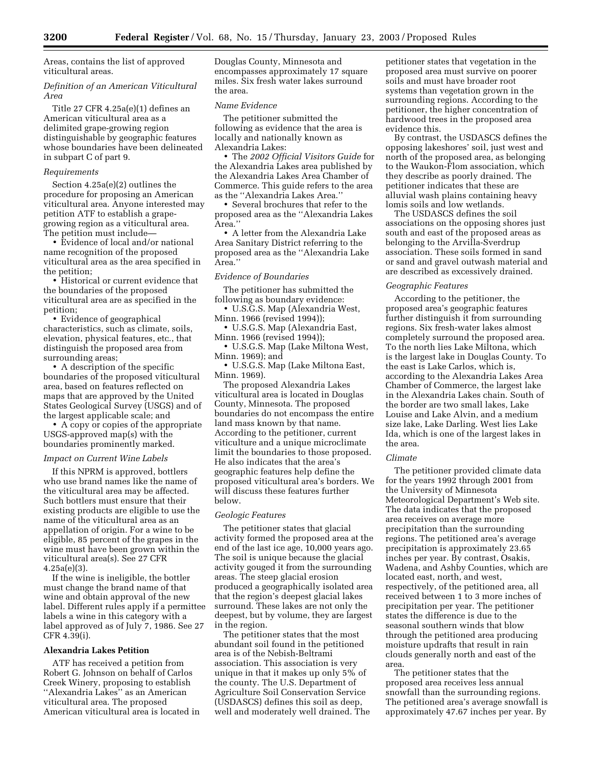Areas, contains the list of approved viticultural areas.

## *Definition of an American Viticultural Area*

Title 27 CFR 4.25a(e)(1) defines an American viticultural area as a delimited grape-growing region distinguishable by geographic features whose boundaries have been delineated in subpart C of part 9.

#### *Requirements*

Section 4.25a(e)(2) outlines the procedure for proposing an American viticultural area. Anyone interested may petition ATF to establish a grapegrowing region as a viticultural area. The petition must include—

• Evidence of local and/or national name recognition of the proposed viticultural area as the area specified in the petition;

• Historical or current evidence that the boundaries of the proposed viticultural area are as specified in the petition;

• Evidence of geographical characteristics, such as climate, soils, elevation, physical features, etc., that distinguish the proposed area from surrounding areas;

• A description of the specific boundaries of the proposed viticultural area, based on features reflected on maps that are approved by the United States Geological Survey (USGS) and of the largest applicable scale; and

• A copy or copies of the appropriate USGS-approved map(s) with the boundaries prominently marked.

#### *Impact on Current Wine Labels*

If this NPRM is approved, bottlers who use brand names like the name of the viticultural area may be affected. Such bottlers must ensure that their existing products are eligible to use the name of the viticultural area as an appellation of origin. For a wine to be eligible, 85 percent of the grapes in the wine must have been grown within the viticultural area(s). See 27 CFR 4.25a(e)(3).

If the wine is ineligible, the bottler must change the brand name of that wine and obtain approval of the new label. Different rules apply if a permittee labels a wine in this category with a label approved as of July 7, 1986. See 27 CFR 4.39(i).

### **Alexandria Lakes Petition**

ATF has received a petition from Robert G. Johnson on behalf of Carlos Creek Winery, proposing to establish ''Alexandria Lakes'' as an American viticultural area. The proposed American viticultural area is located in Douglas County, Minnesota and encompasses approximately 17 square miles. Six fresh water lakes surround the area.

## *Name Evidence*

The petitioner submitted the following as evidence that the area is locally and nationally known as Alexandria Lakes:

• The *2002 Official Visitors Guide* for the Alexandria Lakes area published by the Alexandria Lakes Area Chamber of Commerce. This guide refers to the area as the ''Alexandria Lakes Area.''

• Several brochures that refer to the proposed area as the ''Alexandria Lakes Area.''

• A letter from the Alexandria Lake Area Sanitary District referring to the proposed area as the ''Alexandria Lake Area.''

#### *Evidence of Boundaries*

The petitioner has submitted the following as boundary evidence:

• U.S.G.S. Map (Alexandria West, Minn. 1966 (revised 1994));

• U.S.G.S. Map (Alexandria East, Minn. 1966 (revised 1994));

• U.S.G.S. Map (Lake Miltona West, Minn. 1969); and

• U.S.G.S. Map (Lake Miltona East, Minn. 1969).

The proposed Alexandria Lakes viticultural area is located in Douglas County, Minnesota. The proposed boundaries do not encompass the entire land mass known by that name. According to the petitioner, current viticulture and a unique microclimate limit the boundaries to those proposed. He also indicates that the area's geographic features help define the proposed viticultural area's borders. We will discuss these features further below.

#### *Geologic Features*

The petitioner states that glacial activity formed the proposed area at the end of the last ice age, 10,000 years ago. The soil is unique because the glacial activity gouged it from the surrounding areas. The steep glacial erosion produced a geographically isolated area that the region's deepest glacial lakes surround. These lakes are not only the deepest, but by volume, they are largest in the region.

The petitioner states that the most abundant soil found in the petitioned area is of the Nebish-Beltrami association. This association is very unique in that it makes up only 5% of the county. The U.S. Department of Agriculture Soil Conservation Service (USDASCS) defines this soil as deep, well and moderately well drained. The petitioner states that vegetation in the proposed area must survive on poorer soils and must have broader root systems than vegetation grown in the surrounding regions. According to the petitioner, the higher concentration of hardwood trees in the proposed area evidence this.

By contrast, the USDASCS defines the opposing lakeshores' soil, just west and north of the proposed area, as belonging to the Waukon-Flom association, which they describe as poorly drained. The petitioner indicates that these are alluvial wash plains containing heavy lomis soils and low wetlands.

The USDASCS defines the soil associations on the opposing shores just south and east of the proposed areas as belonging to the Arvilla-Sverdrup association. These soils formed in sand or sand and gravel outwash material and are described as excessively drained.

#### *Geographic Features*

According to the petitioner, the proposed area's geographic features further distinguish it from surrounding regions. Six fresh-water lakes almost completely surround the proposed area. To the north lies Lake Miltona, which is the largest lake in Douglas County. To the east is Lake Carlos, which is, according to the Alexandria Lakes Area Chamber of Commerce, the largest lake in the Alexandria Lakes chain. South of the border are two small lakes, Lake Louise and Lake Alvin, and a medium size lake, Lake Darling. West lies Lake Ida, which is one of the largest lakes in the area.

#### *Climate*

The petitioner provided climate data for the years 1992 through 2001 from the University of Minnesota Meteorological Department's Web site. The data indicates that the proposed area receives on average more precipitation than the surrounding regions. The petitioned area's average precipitation is approximately 23.65 inches per year. By contrast, Osakis, Wadena, and Ashby Counties, which are located east, north, and west, respectively, of the petitioned area, all received between 1 to 3 more inches of precipitation per year. The petitioner states the difference is due to the seasonal southern winds that blow through the petitioned area producing moisture updrafts that result in rain clouds generally north and east of the area.

The petitioner states that the proposed area receives less annual snowfall than the surrounding regions. The petitioned area's average snowfall is approximately 47.67 inches per year. By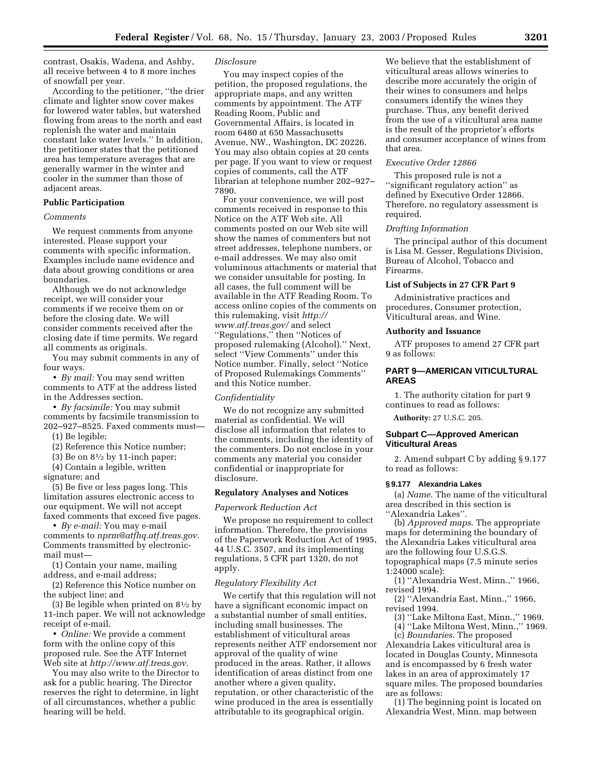contrast, Osakis, Wadena, and Ashby, all receive between 4 to 8 more inches of snowfall per year.

According to the petitioner, ''the drier climate and lighter snow cover makes for lowered water tables, but watershed flowing from areas to the north and east replenish the water and maintain constant lake water levels.'' In addition, the petitioner states that the petitioned area has temperature averages that are generally warmer in the winter and cooler in the summer than those of adjacent areas.

## **Public Participation**

## *Comments*

We request comments from anyone interested. Please support your comments with specific information. Examples include name evidence and data about growing conditions or area boundaries.

Although we do not acknowledge receipt, we will consider your comments if we receive them on or before the closing date. We will consider comments received after the closing date if time permits. We regard all comments as originals.

You may submit comments in any of four ways.

• *By mail:* You may send written comments to ATF at the address listed in the Addresses section.

• *By facsimile:* You may submit comments by facsimile transmission to 202–927–8525. Faxed comments must—

(1) Be legible;

(2) Reference this Notice number;

(3) Be on  $8\frac{1}{2}$  by 11-inch paper;

(4) Contain a legible, written

signature; and

(5) Be five or less pages long. This limitation assures electronic access to our equipment. We will not accept faxed comments that exceed five pages.

• *By e-mail:* You may e-mail comments to *[nprm@atfhq.atf.treas.gov.](mailto:nprm@atfhq.atf.treas.gov)* Comments transmitted by electronicmail must—

(1) Contain your name, mailing address, and e-mail address;

(2) Reference this Notice number on the subject line; and

(3) Be legible when printed on 81⁄2 by 11-inch paper. We will not acknowledge receipt of e-mail.

• *Online:* We provide a comment form with the online copy of this proposed rule. See the ATF Internet Web site at *[http://www.atf.treas.gov.](http://www.atf.treas.gov)*

You may also write to the Director to ask for a public hearing. The Director reserves the right to determine, in light of all circumstances, whether a public hearing will be held.

## *Disclosure*

You may inspect copies of the petition, the proposed regulations, the appropriate maps, and any written comments by appointment. The ATF Reading Room, Public and Governmental Affairs, is located in room 6480 at 650 Massachusetts Avenue, NW., Washington, DC 20226. You may also obtain copies at 20 cents per page. If you want to view or request copies of comments, call the ATF librarian at telephone number 202–927– 7890.

For your convenience, we will post comments received in response to this Notice on the ATF Web site. All comments posted on our Web site will show the names of commenters but not street addresses, telephone numbers, or e-mail addresses. We may also omit voluminous attachments or material that we consider unsuitable for posting. In all cases, the full comment will be available in the ATF Reading Room. To access online copies of the comments on [this rulemaking, visit](http://www.atf.treas.gov) *http:// www.atf.treas.gov/* and select ''Regulations,'' then ''Notices of proposed rulemaking (Alcohol).'' Next, select ''View Comments'' under this Notice number. Finally, select ''Notice of Proposed Rulemakings Comments'' and this Notice number.

#### *Confidentiality*

We do not recognize any submitted material as confidential. We will disclose all information that relates to the comments, including the identity of the commenters. Do not enclose in your comments any material you consider confidential or inappropriate for disclosure.

#### **Regulatory Analyses and Notices**

#### *Paperwork Reduction Act*

We propose no requirement to collect information. Therefore, the provisions of the Paperwork Reduction Act of 1995, 44 U.S.C. 3507, and its implementing regulations, 5 CFR part 1320, do not apply.

#### *Regulatory Flexibility Act*

We certify that this regulation will not have a significant economic impact on a substantial number of small entities, including small businesses. The establishment of viticultural areas represents neither ATF endorsement nor approval of the quality of wine produced in the areas. Rather, it allows identification of areas distinct from one another where a given quality, reputation, or other characteristic of the wine produced in the area is essentially attributable to its geographical origin.

We believe that the establishment of viticultural areas allows wineries to describe more accurately the origin of their wines to consumers and helps consumers identify the wines they purchase. Thus, any benefit derived from the use of a viticultural area name is the result of the proprietor's efforts and consumer acceptance of wines from that area.

#### *Executive Order 12866*

This proposed rule is not a ''significant regulatory action'' as defined by Executive Order 12866. Therefore, no regulatory assessment is required.

## *Drafting Information*

The principal author of this document is Lisa M. Gesser, Regulations Division, Bureau of Alcohol, Tobacco and Firearms.

## **List of Subjects in 27 CFR Part 9**

Administrative practices and procedures, Consumer protection, Viticultural areas, and Wine.

#### **Authority and Issuance**

ATF proposes to amend 27 CFR part 9 as follows:

## **PART 9—AMERICAN VITICULTURAL AREAS**

1. The authority citation for part 9 continues to read as follows:

**Authority:** 27 U.S.C. 205.

# **Subpart C—Approved American Viticultural Areas**

2. Amend subpart C by adding § 9.177 to read as follows:

#### **§ 9.177 Alexandria Lakes**

(a) *Name*. The name of the viticultural area described in this section is ''Alexandria Lakes''.

(b) *Approved maps*. The appropriate maps for determining the boundary of the Alexandria Lakes viticultural area are the following four U.S.G.S. topographical maps (7.5 minute series

1:24000 scale):

(1) ''Alexandria West, Minn.,'' 1966, revised 1994.

(2) ''Alexandria East, Minn.,'' 1966, revised 1994.

(3) ''Lake Miltona East, Minn.,'' 1969. (4) ''Lake Miltona West, Minn.,'' 1969.

(c) *Boundaries*. The proposed Alexandria Lakes viticultural area is located in Douglas County, Minnesota and is encompassed by 6 fresh water lakes in an area of approximately 17 square miles. The proposed boundaries are as follows:

(1) The beginning point is located on Alexandria West, Minn. map between